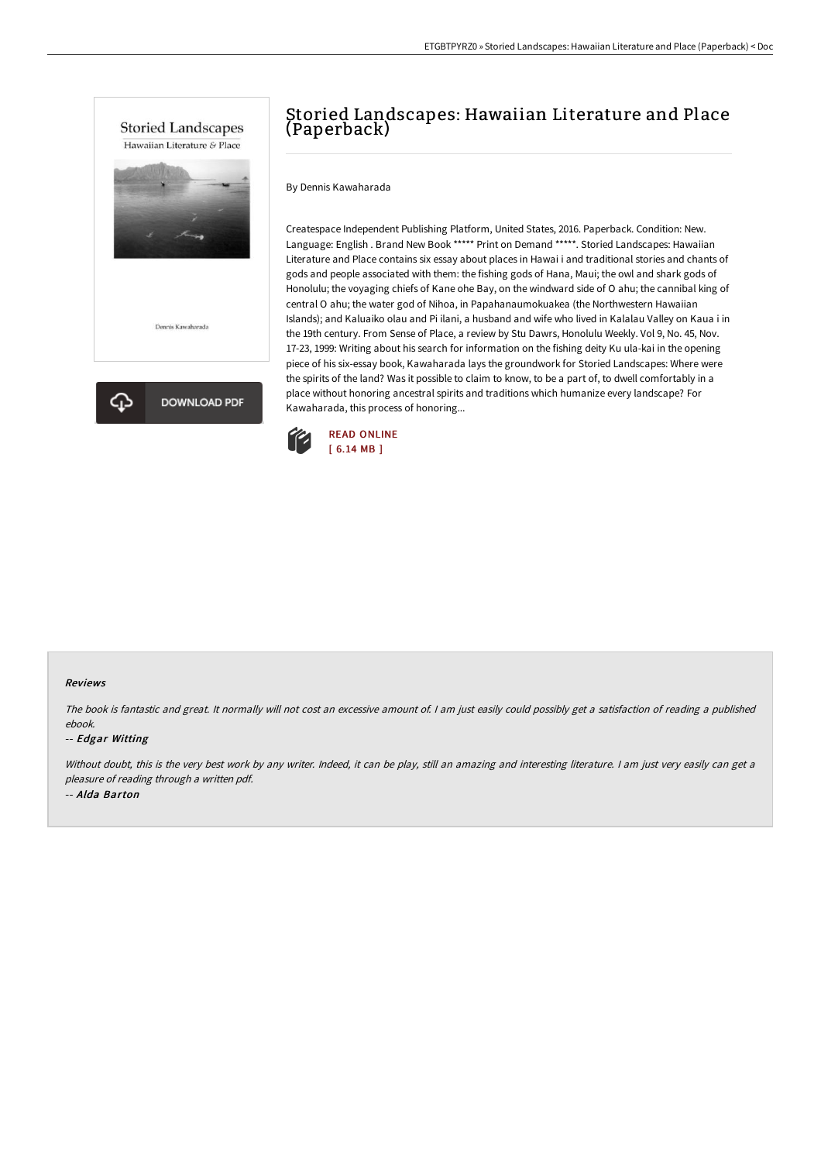



# Storied Landscapes: Hawaiian Literature and Place (Paperback)

By Dennis Kawaharada

Createspace Independent Publishing Platform, United States, 2016. Paperback. Condition: New. Language: English . Brand New Book \*\*\*\*\* Print on Demand \*\*\*\*\*. Storied Landscapes: Hawaiian Literature and Place contains six essay about places in Hawai i and traditional stories and chants of gods and people associated with them: the fishing gods of Hana, Maui; the owl and shark gods of Honolulu; the voyaging chiefs of Kane ohe Bay, on the windward side of O ahu; the cannibal king of central O ahu; the water god of Nihoa, in Papahanaumokuakea (the Northwestern Hawaiian Islands); and Kaluaiko olau and Pi ilani, a husband and wife who lived in Kalalau Valley on Kaua i in the 19th century. From Sense of Place, a review by Stu Dawrs, Honolulu Weekly. Vol 9, No. 45, Nov. 17-23, 1999: Writing about his search for information on the fishing deity Ku ula-kai in the opening piece of his six-essay book, Kawaharada lays the groundwork for Storied Landscapes: Where were the spirits of the land? Was it possible to claim to know, to be a part of, to dwell comfortably in a place without honoring ancestral spirits and traditions which humanize every landscape? For Kawaharada, this process of honoring...



### Reviews

The book is fantastic and great. It normally will not cost an excessive amount of. <sup>I</sup> am just easily could possibly get <sup>a</sup> satisfaction of reading <sup>a</sup> published ebook.

## -- Edgar Witting

Without doubt, this is the very best work by any writer. Indeed, it can be play, still an amazing and interesting literature. I am just very easily can get a pleasure of reading through <sup>a</sup> written pdf. -- Alda Barton